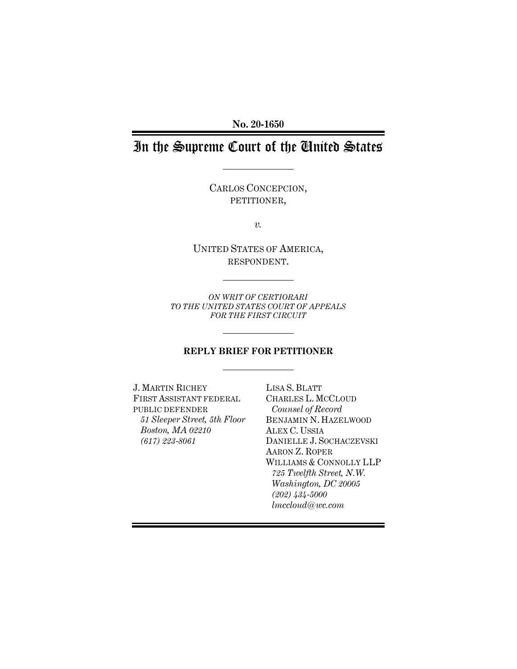**No. 20-1650**

# In the Supreme Court of the United States

CARLOS CONCEPCION, PETITIONER,

*v.*

UNITED STATES OF AMERICA, RESPONDENT.

*ON WRIT OF CERTIORARI TO THE UNITED STATES COURT OF APPEALS FOR THE FIRST CIRCUIT*

## **REPLY BRIEF FOR PETITIONER**

J. MARTIN RICHEY FIRST ASSISTANT FEDERAL PUBLIC DEFENDER *51 Sleeper Street, 5th Floor Boston, MA 02210 (617) 223-8061*

LISA S. BLATT CHARLES L. MCCLOUD *Counsel of Record* BENJAMIN N. HAZELWOOD ALEX C. USSIA DANIELLE J. SOCHACZEVSKI AARON Z. ROPER WILLIAMS & CONNOLLY LLP *725 Twelfth Street, N.W. Washington, DC 20005 (202) 434-5000 lmccloud@wc.com*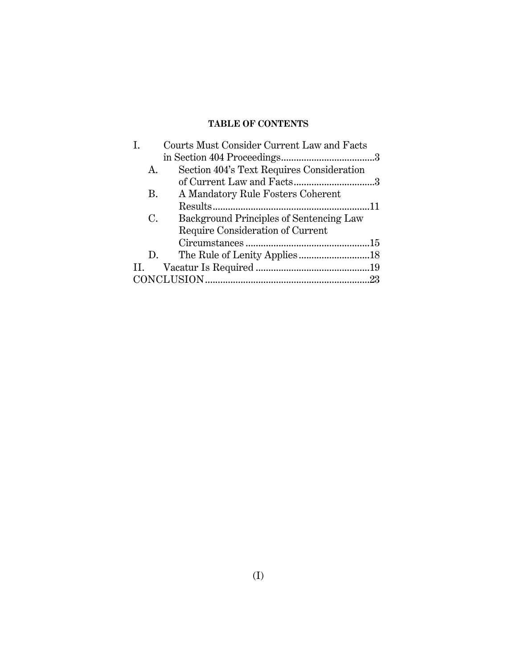## **TABLE OF CONTENTS**

|     |    | Courts Must Consider Current Law and Facts |     |
|-----|----|--------------------------------------------|-----|
|     |    |                                            |     |
|     | A. | Section 404's Text Requires Consideration  |     |
|     |    | of Current Law and Facts3                  |     |
|     | B. | A Mandatory Rule Fosters Coherent          |     |
|     |    |                                            |     |
|     | C. | Background Principles of Sentencing Law    |     |
|     |    | Require Consideration of Current           |     |
|     |    |                                            |     |
|     | D. |                                            |     |
| II. |    |                                            |     |
|     |    |                                            | .23 |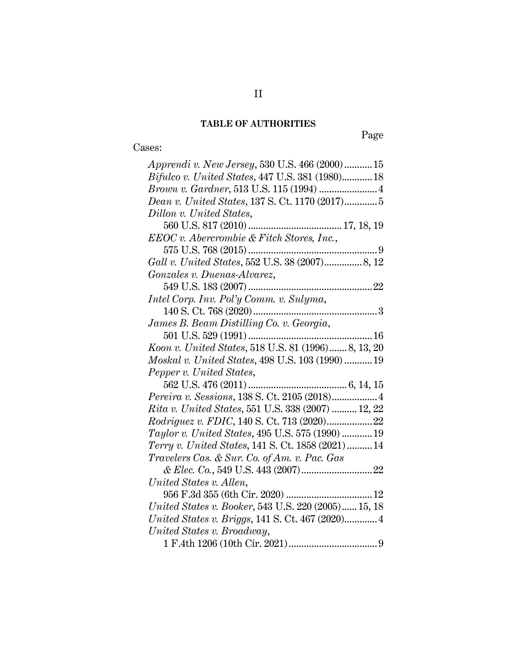## **TABLE OF AUTHORITIES**

# Cases:

Page

| <i>Apprendi v. New Jersey,</i> 530 U.S. 466 (2000)15   |
|--------------------------------------------------------|
| <i>Bifulco v. United States, 447 U.S. 381 (1980)18</i> |
|                                                        |
| Dean v. United States, 137 S. Ct. 1170 (2017)5         |
| Dillon v. United States,                               |
|                                                        |
| EEOC v. Abercrombie & Fitch Stores, Inc.,              |
|                                                        |
|                                                        |
| Gonzales v. Duenas-Alvarez,                            |
|                                                        |
| Intel Corp. Inv. Pol'y Comm. v. Sulyma,                |
|                                                        |
| James B. Beam Distilling Co. v. Georgia,               |
|                                                        |
| Koon v. United States, 518 U.S. 81 (1996) 8, 13, 20    |
| Moskal v. United States, 498 U.S. 103 (1990)  19       |
| Pepper v. United States,                               |
|                                                        |
|                                                        |
| Pereira v. Sessions, 138 S. Ct. 2105 (2018) 4          |
| Rita v. United States, 551 U.S. 338 (2007)  12, 22     |
|                                                        |
| Taylor v. United States, 495 U.S. 575 (1990)  19       |
| Terry v. United States, 141 S. Ct. 1858 (2021) 14      |
| Travelers Cas. & Sur. Co. of Am. v. Pac. Gas           |
|                                                        |
| United States v. Allen,                                |
|                                                        |
| United States v. Booker, 543 U.S. 220 (2005) 15, 18    |
|                                                        |
| United States v. Broadway,                             |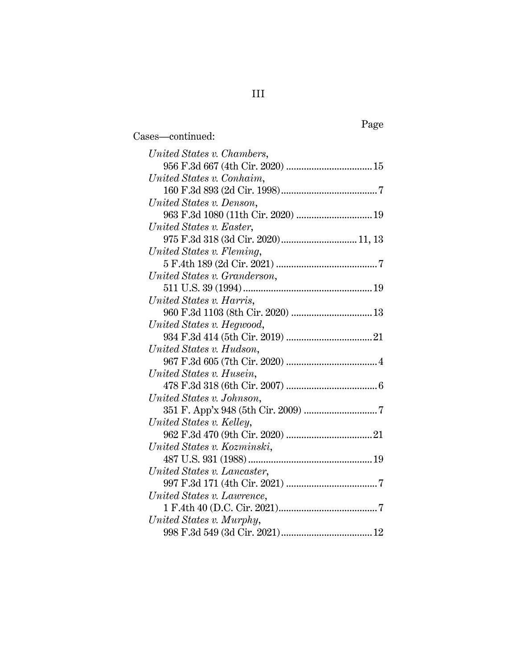| United States v. Chambers,         |  |
|------------------------------------|--|
|                                    |  |
| United States v. Conhaim,          |  |
|                                    |  |
| United States v. Denson,           |  |
|                                    |  |
| United States v. Easter,           |  |
| 975 F.3d 318 (3d Cir. 2020) 11, 13 |  |
| United States v. Fleming,          |  |
|                                    |  |
| United States v. Granderson,       |  |
|                                    |  |
| United States v. Harris,           |  |
|                                    |  |
| United States v. Hegwood,          |  |
|                                    |  |
| United States v. Hudson,           |  |
|                                    |  |
| United States v. Husein,           |  |
|                                    |  |
| United States v. Johnson,          |  |
|                                    |  |
| United States v. Kelley,           |  |
|                                    |  |
| United States v. Kozminski,        |  |
|                                    |  |
| United States v. Lancaster,        |  |
|                                    |  |
| United States v. Lawrence,         |  |
|                                    |  |
| United States v. Murphy,           |  |
|                                    |  |

Cases—continued: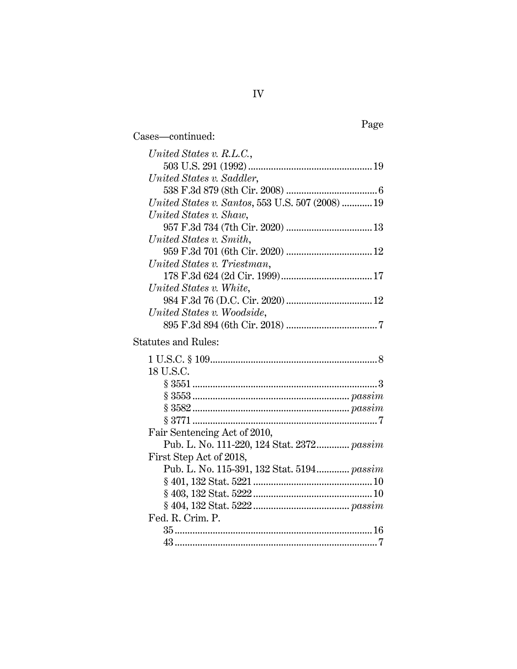| United States v. R.L.C.,                         |
|--------------------------------------------------|
|                                                  |
| United States v. Saddler,                        |
|                                                  |
| United States v. Santos, 553 U.S. 507 (2008)  19 |
| United States v. Shaw,                           |
|                                                  |
| United States v. Smith,                          |
|                                                  |
| United States v. Triestman,                      |
|                                                  |
| United States v. White,                          |
|                                                  |
| United States v. Woodside,                       |
|                                                  |
| <b>Statutes and Rules:</b>                       |
|                                                  |
| 18 U.S.C.                                        |
|                                                  |
|                                                  |
|                                                  |
|                                                  |
| Fair Sentencing Act of 2010,                     |
| Pub. L. No. 111-220, 124 Stat. 2372 passim       |
| First Step Act of 2018,                          |
| Pub. L. No. 115-391, 132 Stat. 5194 passim       |
|                                                  |
|                                                  |
|                                                  |
| Fed. R. Crim. P.                                 |
|                                                  |
|                                                  |

Cases—continued: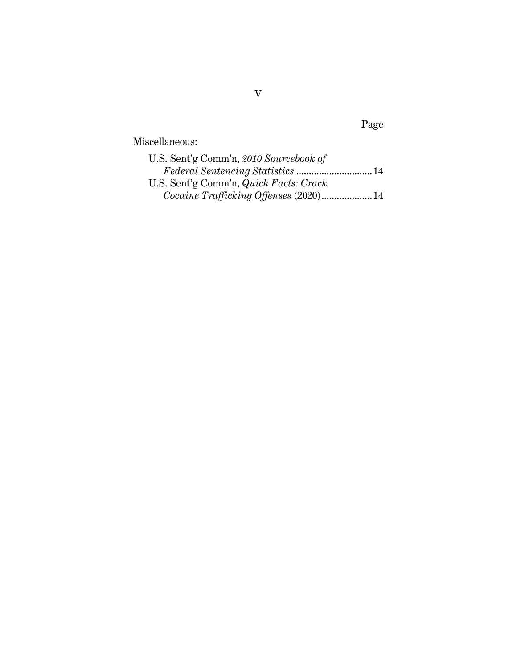Miscellaneous:

| U.S. Sent'g Comm'n, 2010 Sourcebook of |  |
|----------------------------------------|--|
|                                        |  |
| U.S. Sent'g Comm'n, Quick Facts: Crack |  |
|                                        |  |

Page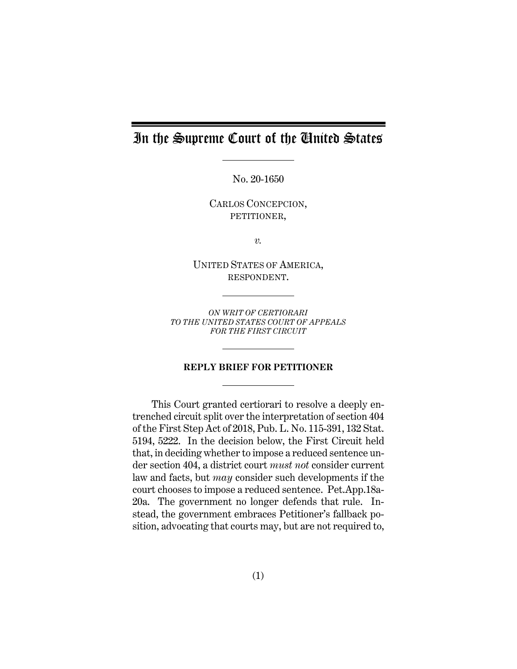# In the Supreme Court of the United States

No. 20-1650

CARLOS CONCEPCION, PETITIONER,

*v.*

UNITED STATES OF AMERICA, RESPONDENT.

*ON WRIT OF CERTIORARI TO THE UNITED STATES COURT OF APPEALS FOR THE FIRST CIRCUIT*

### **REPLY BRIEF FOR PETITIONER**

This Court granted certiorari to resolve a deeply entrenched circuit split over the interpretation of section 404 of the First Step Act of 2018, Pub. L. No. 115-391, 132 Stat. 5194, 5222. In the decision below, the First Circuit held that, in deciding whether to impose a reduced sentence under section 404, a district court *must not* consider current law and facts, but *may* consider such developments if the court chooses to impose a reduced sentence. Pet.App.18a-20a. The government no longer defends that rule. Instead, the government embraces Petitioner's fallback position, advocating that courts may, but are not required to,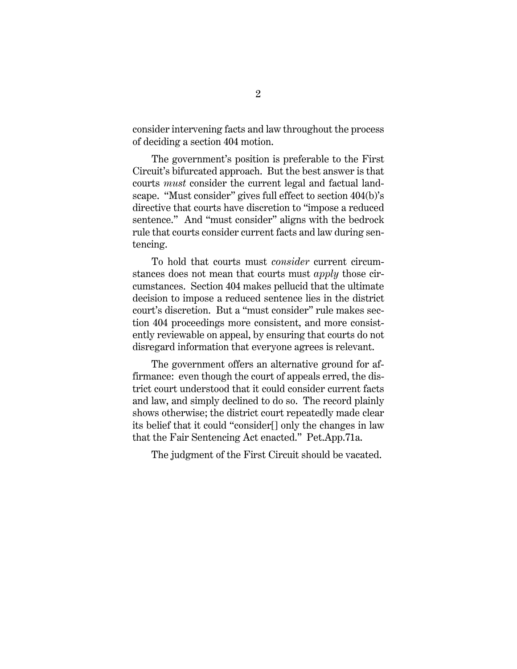consider intervening facts and law throughout the process of deciding a section 404 motion.

The government's position is preferable to the First Circuit's bifurcated approach. But the best answer is that courts *must* consider the current legal and factual landscape. "Must consider" gives full effect to section 404(b)'s directive that courts have discretion to "impose a reduced sentence." And "must consider" aligns with the bedrock rule that courts consider current facts and law during sentencing.

To hold that courts must *consider* current circumstances does not mean that courts must *apply* those circumstances. Section 404 makes pellucid that the ultimate decision to impose a reduced sentence lies in the district court's discretion. But a "must consider" rule makes section 404 proceedings more consistent, and more consistently reviewable on appeal, by ensuring that courts do not disregard information that everyone agrees is relevant.

The government offers an alternative ground for affirmance: even though the court of appeals erred, the district court understood that it could consider current facts and law, and simply declined to do so. The record plainly shows otherwise; the district court repeatedly made clear its belief that it could "consider[] only the changes in law that the Fair Sentencing Act enacted." Pet.App.71a.

<span id="page-7-0"></span>The judgment of the First Circuit should be vacated.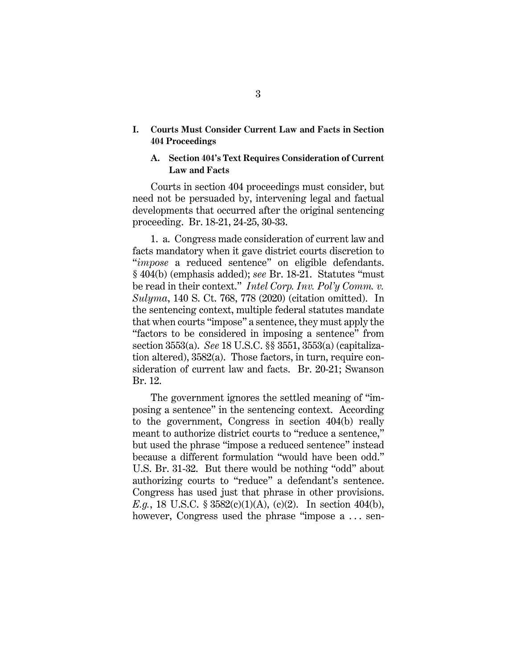## <span id="page-8-0"></span>**I. Courts Must Consider Current Law and Facts in Section 404 Proceedings**

#### <span id="page-8-1"></span>**A. Section 404's Text Requires Consideration of Current Law and Facts**

Courts in section 404 proceedings must consider, but need not be persuaded by, intervening legal and factual developments that occurred after the original sentencing proceeding. Br. 18-21, 24-25, 30-33.

<span id="page-8-2"></span>1. a. Congress made consideration of current law and facts mandatory when it gave district courts discretion to "*impose* a reduced sentence" on eligible defendants. § 404(b) (emphasis added); *see* Br. 18-21. Statutes "must be read in their context." *Intel Corp. Inv. Pol'y Comm. v. Sulyma*, 140 S. Ct. 768, 778 (2020) (citation omitted). In the sentencing context, multiple federal statutes mandate that when courts "impose" a sentence, they must apply the "factors to be considered in imposing a sentence" from section 3553(a). *See* 18 U.S.C. §§ 3551, 3553(a) (capitalization altered), 3582(a). Those factors, in turn, require consideration of current law and facts. Br. 20-21; Swanson Br. 12.

The government ignores the settled meaning of "imposing a sentence" in the sentencing context. According to the government, Congress in section 404(b) really meant to authorize district courts to "reduce a sentence," but used the phrase "impose a reduced sentence" instead because a different formulation "would have been odd." U.S. Br. 31-32. But there would be nothing "odd" about authorizing courts to "reduce" a defendant's sentence. Congress has used just that phrase in other provisions. *E.g.*, 18 U.S.C.  $\S 3582(c)(1)(A)$ , (c)(2). In section 404(b), however, Congress used the phrase "impose a ... sen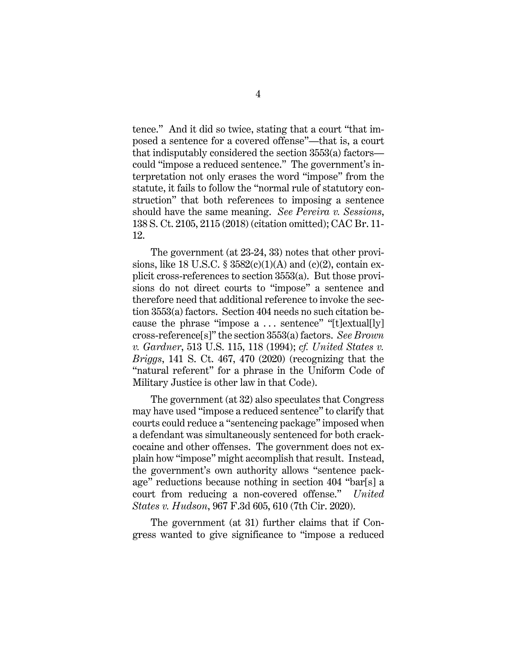tence." And it did so twice, stating that a court "that imposed a sentence for a covered offense"—that is, a court that indisputably considered the section 3553(a) factors could "impose a reduced sentence." The government's interpretation not only erases the word "impose" from the statute, it fails to follow the "normal rule of statutory construction" that both references to imposing a sentence should have the same meaning. *See Pereira v. Sessions*, 138 S. Ct. 2105, 2115 (2018) (citation omitted); CAC Br. 11- 12.

<span id="page-9-1"></span>The government (at 23-24, 33) notes that other provisions, like 18 U.S.C.  $\S 3582(c)(1)(A)$  and (c)(2), contain explicit cross-references to section 3553(a). But those provisions do not direct courts to "impose" a sentence and therefore need that additional reference to invoke the section 3553(a) factors. Section 404 needs no such citation because the phrase "impose  $a \ldots$  sentence" "[t]extual[ly] cross-reference[s]" the section 3553(a) factors. *See Brown v. Gardner*, 513 U.S. 115, 118 (1994); *cf. United States v. Briggs*, 141 S. Ct. 467, 470 (2020) (recognizing that the "natural referent" for a phrase in the Uniform Code of Military Justice is other law in that Code).

<span id="page-9-2"></span><span id="page-9-0"></span>The government (at 32) also speculates that Congress may have used "impose a reduced sentence" to clarify that courts could reduce a "sentencing package" imposed when a defendant was simultaneously sentenced for both crackcocaine and other offenses. The government does not explain how "impose" might accomplish that result. Instead, the government's own authority allows "sentence package" reductions because nothing in section 404 "bar[s] a court from reducing a non-covered offense." *United States v. Hudson*, 967 F.3d 605, 610 (7th Cir. 2020).

<span id="page-9-3"></span>The government (at 31) further claims that if Congress wanted to give significance to "impose a reduced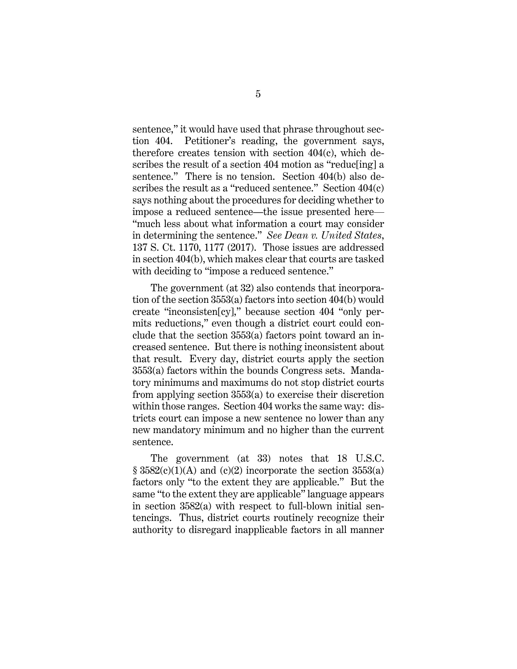sentence," it would have used that phrase throughout section 404. Petitioner's reading, the government says, therefore creates tension with section 404(c), which describes the result of a section 404 motion as "reduc[ing] a sentence." There is no tension. Section 404(b) also describes the result as a "reduced sentence." Section  $404(c)$ says nothing about the procedures for deciding whether to impose a reduced sentence—the issue presented here— "much less about what information a court may consider in determining the sentence." *See Dean v. United States*, 137 S. Ct. 1170, 1177 (2017). Those issues are addressed in section 404(b), which makes clear that courts are tasked with deciding to "impose a reduced sentence."

<span id="page-10-0"></span>The government (at 32) also contends that incorporation of the section 3553(a) factors into section 404(b) would create "inconsisten[cy]," because section 404 "only permits reductions," even though a district court could conclude that the section 3553(a) factors point toward an increased sentence. But there is nothing inconsistent about that result. Every day, district courts apply the section 3553(a) factors within the bounds Congress sets. Mandatory minimums and maximums do not stop district courts from applying section 3553(a) to exercise their discretion within those ranges. Section 404 works the same way: districts court can impose a new sentence no lower than any new mandatory minimum and no higher than the current sentence.

The government (at 33) notes that 18 U.S.C.  $\S$  3582(c)(1)(A) and (c)(2) incorporate the section 3553(a) factors only "to the extent they are applicable." But the same "to the extent they are applicable" language appears in section 3582(a) with respect to full-blown initial sentencings. Thus, district courts routinely recognize their authority to disregard inapplicable factors in all manner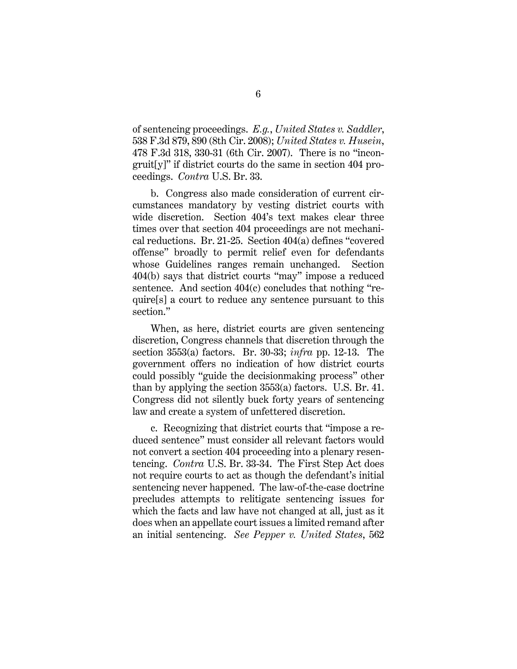<span id="page-11-2"></span><span id="page-11-1"></span>of sentencing proceedings. *E.g.*, *United States v. Saddler*, 538 F.3d 879, 890 (8th Cir. 2008); *United States v. Husein*, 478 F.3d 318, 330-31 (6th Cir. 2007). There is no "incongruit[y]" if district courts do the same in section 404 proceedings. *Contra* U.S. Br. 33.

b. Congress also made consideration of current circumstances mandatory by vesting district courts with wide discretion. Section 404's text makes clear three times over that section 404 proceedings are not mechanical reductions. Br. 21-25. Section 404(a) defines "covered offense" broadly to permit relief even for defendants whose Guidelines ranges remain unchanged. Section 404(b) says that district courts "may" impose a reduced sentence. And section 404(c) concludes that nothing "require[s] a court to reduce any sentence pursuant to this section."

When, as here, district courts are given sentencing discretion, Congress channels that discretion through the section 3553(a) factors. Br. 30-33; *infra* pp. 12-13. The government offers no indication of how district courts could possibly "guide the decisionmaking process" other than by applying the section 3553(a) factors. U.S. Br. 41. Congress did not silently buck forty years of sentencing law and create a system of unfettered discretion.

<span id="page-11-3"></span><span id="page-11-0"></span>c. Recognizing that district courts that "impose a reduced sentence" must consider all relevant factors would not convert a section 404 proceeding into a plenary resentencing. *Contra* U.S. Br. 33-34. The First Step Act does not require courts to act as though the defendant's initial sentencing never happened. The law-of-the-case doctrine precludes attempts to relitigate sentencing issues for which the facts and law have not changed at all, just as it does when an appellate court issues a limited remand after an initial sentencing. *See Pepper v. United States*, 562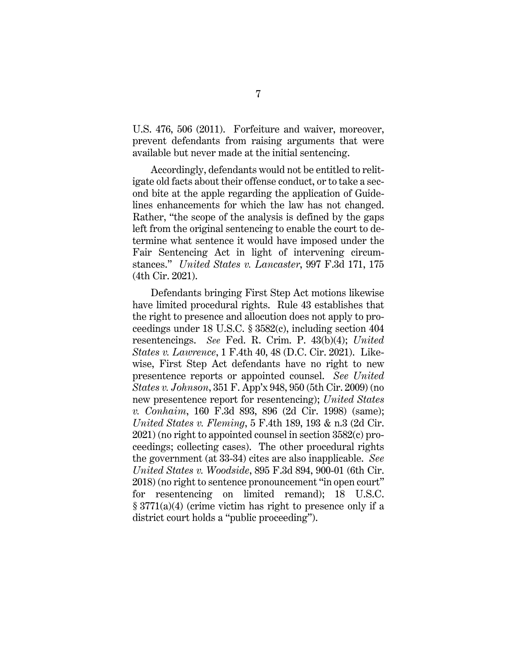U.S. 476, 506 (2011). Forfeiture and waiver, moreover, prevent defendants from raising arguments that were available but never made at the initial sentencing.

Accordingly, defendants would not be entitled to relitigate old facts about their offense conduct, or to take a second bite at the apple regarding the application of Guidelines enhancements for which the law has not changed. Rather, "the scope of the analysis is defined by the gaps left from the original sentencing to enable the court to determine what sentence it would have imposed under the Fair Sentencing Act in light of intervening circumstances." *United States v. Lancaster*, 997 F.3d 171, 175 (4th Cir. 2021).

<span id="page-12-7"></span><span id="page-12-6"></span><span id="page-12-5"></span><span id="page-12-4"></span><span id="page-12-3"></span><span id="page-12-2"></span><span id="page-12-1"></span><span id="page-12-0"></span>Defendants bringing First Step Act motions likewise have limited procedural rights. Rule 43 establishes that the right to presence and allocution does not apply to proceedings under 18 U.S.C. § 3582(c), including section 404 resentencings. *See* Fed. R. Crim. P. 43(b)(4); *United States v. Lawrence*, 1 F.4th 40, 48 (D.C. Cir. 2021). Likewise, First Step Act defendants have no right to new presentence reports or appointed counsel. *See United States v. Johnson*, 351 F. App'x 948, 950 (5th Cir. 2009) (no new presentence report for resentencing); *United States v. Conhaim*, 160 F.3d 893, 896 (2d Cir. 1998) (same); *United States v. Fleming*, 5 F.4th 189, 193 & n.3 (2d Cir. 2021) (no right to appointed counsel in section 3582(c) proceedings; collecting cases). The other procedural rights the government (at 33-34) cites are also inapplicable. *See United States v. Woodside*, 895 F.3d 894, 900-01 (6th Cir. 2018) (no right to sentence pronouncement "in open court" for resentencing on limited remand); 18 U.S.C. § 3771(a)(4) (crime victim has right to presence only if a district court holds a "public proceeding").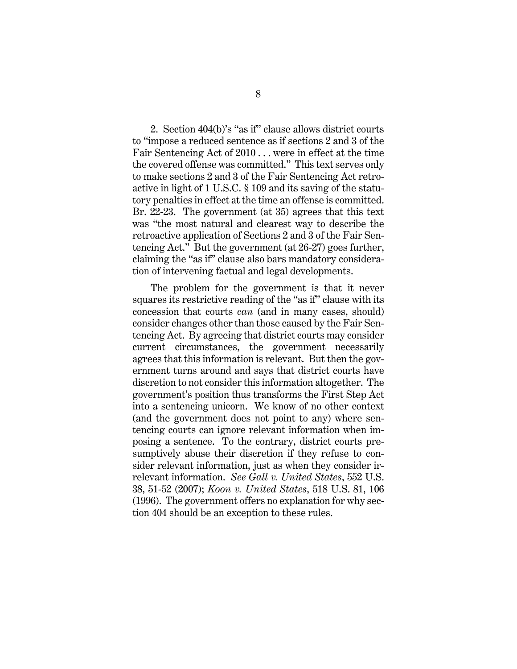2. Section 404(b)'s "as if" clause allows district courts to "impose a reduced sentence as if sections 2 and 3 of the Fair Sentencing Act of 2010 . . . were in effect at the time the covered offense was committed." This text serves only to make sections 2 and 3 of the Fair Sentencing Act retroactive in light of 1 U.S.C. § 109 and its saving of the statutory penalties in effect at the time an offense is committed. Br. 22-23. The government (at 35) agrees that this text was "the most natural and clearest way to describe the retroactive application of Sections 2 and 3 of the Fair Sentencing Act." But the government (at 26-27) goes further, claiming the "as if" clause also bars mandatory consideration of intervening factual and legal developments.

<span id="page-13-1"></span><span id="page-13-0"></span>The problem for the government is that it never squares its restrictive reading of the "as if" clause with its concession that courts *can* (and in many cases, should) consider changes other than those caused by the Fair Sentencing Act. By agreeing that district courts may consider current circumstances, the government necessarily agrees that this information is relevant. But then the government turns around and says that district courts have discretion to not consider this information altogether. The government's position thus transforms the First Step Act into a sentencing unicorn. We know of no other context (and the government does not point to any) where sentencing courts can ignore relevant information when imposing a sentence. To the contrary, district courts presumptively abuse their discretion if they refuse to consider relevant information, just as when they consider irrelevant information. *See Gall v. United States*, 552 U.S. 38, 51-52 (2007); *Koon v. United States*, 518 U.S. 81, 106 (1996). The government offers no explanation for why section 404 should be an exception to these rules.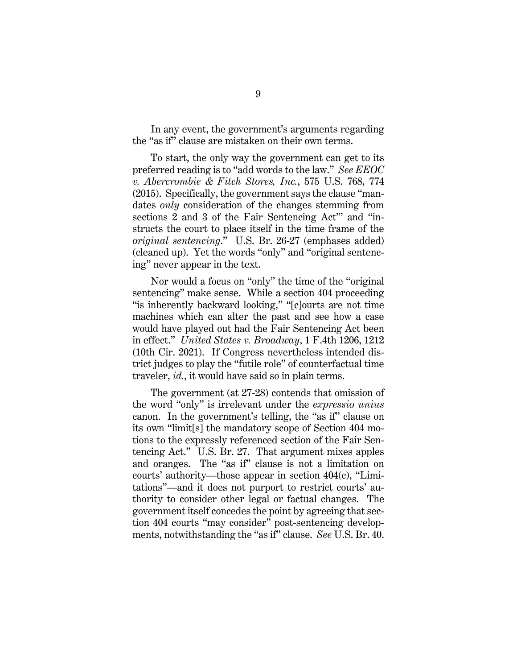In any event, the government's arguments regarding the "as if" clause are mistaken on their own terms.

<span id="page-14-0"></span>To start, the only way the government can get to its preferred reading is to "add words to the law." *See EEOC v. Abercrombie & Fitch Stores, Inc.*, 575 U.S. 768, 774 (2015). Specifically, the government says the clause "mandates *only* consideration of the changes stemming from sections 2 and 3 of the Fair Sentencing Act'" and "instructs the court to place itself in the time frame of the *original sentencing*." U.S. Br. 26-27 (emphases added) (cleaned up). Yet the words "only" and "original sentencing" never appear in the text.

Nor would a focus on "only" the time of the "original sentencing" make sense. While a section 404 proceeding "is inherently backward looking," "[c]ourts are not time machines which can alter the past and see how a case would have played out had the Fair Sentencing Act been in effect." *United States v. Broadway*, 1 F.4th 1206, 1212 (10th Cir. 2021). If Congress nevertheless intended district judges to play the "futile role" of counterfactual time traveler, *id.*, it would have said so in plain terms.

<span id="page-14-1"></span>The government (at 27-28) contends that omission of the word "only" is irrelevant under the *expressio unius* canon. In the government's telling, the "as if" clause on its own "limit[s] the mandatory scope of Section 404 motions to the expressly referenced section of the Fair Sentencing Act." U.S. Br. 27. That argument mixes apples and oranges. The "as if" clause is not a limitation on courts' authority—those appear in section 404(c), "Limitations"—and it does not purport to restrict courts' authority to consider other legal or factual changes. The government itself concedes the point by agreeing that section 404 courts "may consider" post-sentencing developments, notwithstanding the "as if" clause. *See* U.S. Br. 40.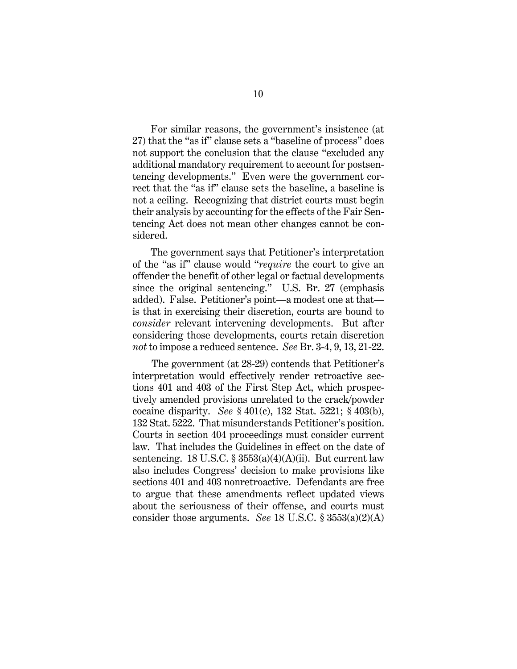For similar reasons, the government's insistence (at 27) that the "as if" clause sets a "baseline of process" does not support the conclusion that the clause "excluded any additional mandatory requirement to account for postsentencing developments." Even were the government correct that the "as if" clause sets the baseline, a baseline is not a ceiling. Recognizing that district courts must begin their analysis by accounting for the effects of the Fair Sentencing Act does not mean other changes cannot be considered.

The government says that Petitioner's interpretation of the "as if" clause would "*require* the court to give an offender the benefit of other legal or factual developments since the original sentencing." U.S. Br. 27 (emphasis added). False. Petitioner's point—a modest one at that is that in exercising their discretion, courts are bound to *consider* relevant intervening developments. But after considering those developments, courts retain discretion *not* to impose a reduced sentence. *See* Br. 3-4, 9, 13, 21-22.

The government (at 28-29) contends that Petitioner's interpretation would effectively render retroactive sections 401 and 403 of the First Step Act, which prospectively amended provisions unrelated to the crack/powder cocaine disparity. *See* § 401(c), 132 Stat. 5221; § 403(b), 132 Stat. 5222. That misunderstands Petitioner's position. Courts in section 404 proceedings must consider current law. That includes the Guidelines in effect on the date of sentencing. 18 U.S.C.  $\S 3553(a)(4)(A)(ii)$ . But current law also includes Congress' decision to make provisions like sections 401 and 403 nonretroactive. Defendants are free to argue that these amendments reflect updated views about the seriousness of their offense, and courts must consider those arguments. *See* 18 U.S.C. § 3553(a)(2)(A)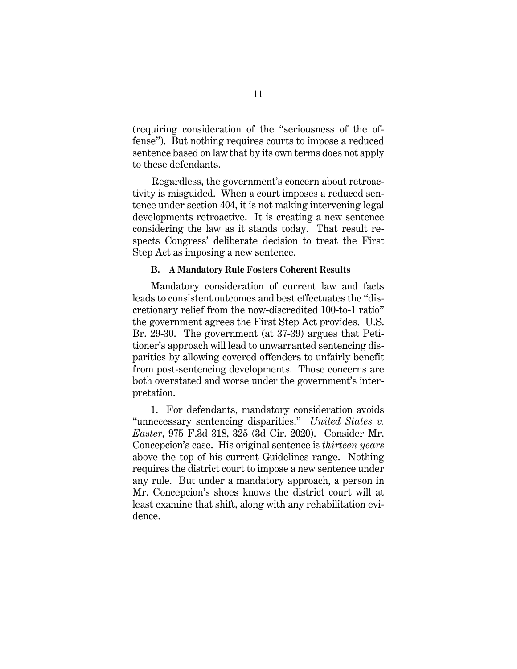(requiring consideration of the "seriousness of the offense"). But nothing requires courts to impose a reduced sentence based on law that by its own terms does not apply to these defendants.

Regardless, the government's concern about retroactivity is misguided. When a court imposes a reduced sentence under section 404, it is not making intervening legal developments retroactive. It is creating a new sentence considering the law as it stands today. That result respects Congress' deliberate decision to treat the First Step Act as imposing a new sentence.

#### **B. A Mandatory Rule Fosters Coherent Results**

<span id="page-16-0"></span>Mandatory consideration of current law and facts leads to consistent outcomes and best effectuates the "discretionary relief from the now-discredited 100-to-1 ratio" the government agrees the First Step Act provides. U.S. Br. 29-30. The government (at 37-39) argues that Petitioner's approach will lead to unwarranted sentencing disparities by allowing covered offenders to unfairly benefit from post-sentencing developments. Those concerns are both overstated and worse under the government's interpretation.

<span id="page-16-1"></span>1. For defendants, mandatory consideration avoids "unnecessary sentencing disparities." *United States v. Easter*, 975 F.3d 318, 325 (3d Cir. 2020). Consider Mr. Concepcion's case. His original sentence is *thirteen years* above the top of his current Guidelines range. Nothing requires the district court to impose a new sentence under any rule. But under a mandatory approach, a person in Mr. Concepcion's shoes knows the district court will at least examine that shift, along with any rehabilitation evidence.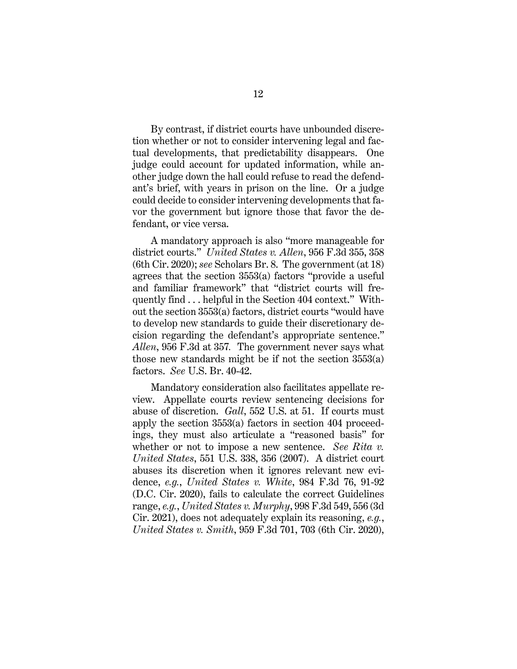By contrast, if district courts have unbounded discretion whether or not to consider intervening legal and factual developments, that predictability disappears. One judge could account for updated information, while another judge down the hall could refuse to read the defendant's brief, with years in prison on the line. Or a judge could decide to consider intervening developments that favor the government but ignore those that favor the defendant, or vice versa.

<span id="page-17-2"></span>A mandatory approach is also "more manageable for district courts." *United States v. Allen*, 956 F.3d 355, 358 (6th Cir. 2020); *see* Scholars Br. 8. The government (at 18) agrees that the section 3553(a) factors "provide a useful and familiar framework" that "district courts will frequently find . . . helpful in the Section 404 context." Without the section 3553(a) factors, district courts "would have to develop new standards to guide their discretionary decision regarding the defendant's appropriate sentence." *Allen*, 956 F.3d at 357*.* The government never says what those new standards might be if not the section 3553(a) factors. *See* U.S. Br. 40-42.

<span id="page-17-5"></span><span id="page-17-4"></span><span id="page-17-3"></span><span id="page-17-1"></span><span id="page-17-0"></span>Mandatory consideration also facilitates appellate review. Appellate courts review sentencing decisions for abuse of discretion. *Gall*, 552 U.S. at 51. If courts must apply the section 3553(a) factors in section 404 proceedings, they must also articulate a "reasoned basis" for whether or not to impose a new sentence. *See Rita v. United States*, 551 U.S. 338, 356 (2007). A district court abuses its discretion when it ignores relevant new evidence, *e.g.*, *United States v. White*, 984 F.3d 76, 91-92 (D.C. Cir. 2020), fails to calculate the correct Guidelines range, *e.g.*, *United States v. Murphy*, 998 F.3d 549, 556 (3d Cir. 2021), does not adequately explain its reasoning, *e.g.*, *United States v. Smith*, 959 F.3d 701, 703 (6th Cir. 2020),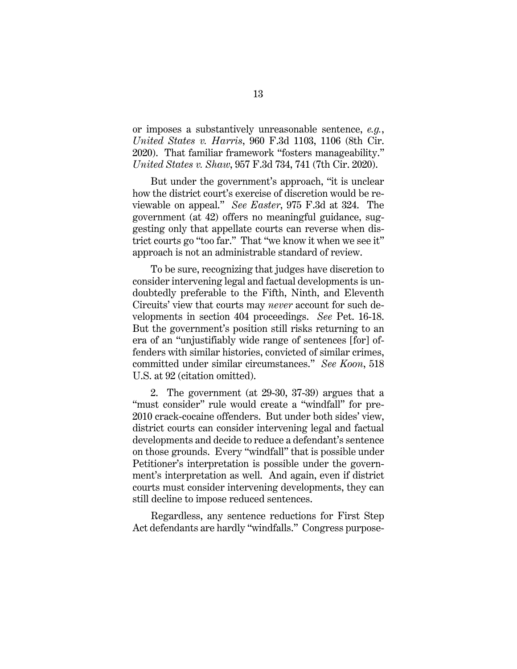<span id="page-18-2"></span>or imposes a substantively unreasonable sentence, *e.g.*, *United States v. Harris*, 960 F.3d 1103, 1106 (8th Cir. 2020). That familiar framework "fosters manageability." *United States v. Shaw*, 957 F.3d 734, 741 (7th Cir. 2020).

<span id="page-18-3"></span><span id="page-18-1"></span>But under the government's approach, "it is unclear how the district court's exercise of discretion would be reviewable on appeal." *See Easter*, 975 F.3d at 324. The government (at 42) offers no meaningful guidance, suggesting only that appellate courts can reverse when district courts go "too far." That "we know it when we see it" approach is not an administrable standard of review.

To be sure, recognizing that judges have discretion to consider intervening legal and factual developments is undoubtedly preferable to the Fifth, Ninth, and Eleventh Circuits' view that courts may *never* account for such developments in section 404 proceedings. *See* Pet. 16-18. But the government's position still risks returning to an era of an "unjustifiably wide range of sentences [for] offenders with similar histories, convicted of similar crimes, committed under similar circumstances." *See Koon*, 518 U.S. at 92 (citation omitted).

<span id="page-18-0"></span>2. The government (at 29-30, 37-39) argues that a "must consider" rule would create a "windfall" for pre-2010 crack-cocaine offenders. But under both sides' view, district courts can consider intervening legal and factual developments and decide to reduce a defendant's sentence on those grounds. Every "windfall" that is possible under Petitioner's interpretation is possible under the government's interpretation as well. And again, even if district courts must consider intervening developments, they can still decline to impose reduced sentences.

Regardless, any sentence reductions for First Step Act defendants are hardly "windfalls." Congress purpose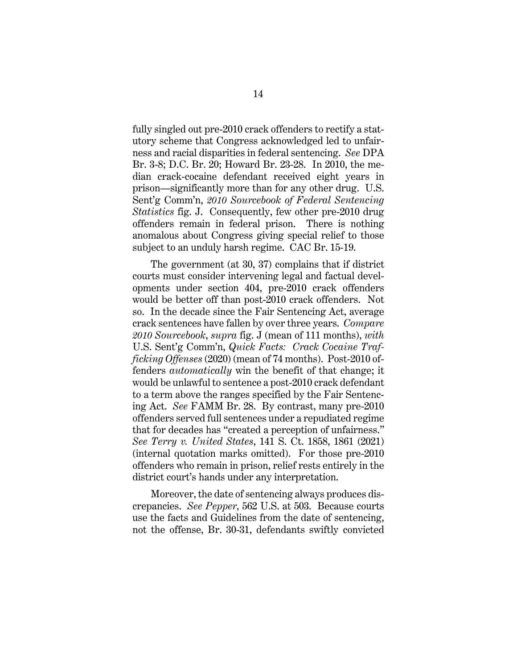<span id="page-19-2"></span>fully singled out pre-2010 crack offenders to rectify a statutory scheme that Congress acknowledged led to unfairness and racial disparities in federal sentencing. *See* DPA Br. 3-8; D.C. Br. 20; Howard Br. 23-28. In 2010, the median crack-cocaine defendant received eight years in prison—significantly more than for any other drug. U.S. Sent'g Comm'n, *2010 Sourcebook of Federal Sentencing Statistics* fig. J. Consequently, few other pre-2010 drug offenders remain in federal prison. There is nothing anomalous about Congress giving special relief to those subject to an unduly harsh regime. CAC Br. 15-19.

<span id="page-19-3"></span>The government (at 30, 37) complains that if district courts must consider intervening legal and factual developments under section 404, pre-2010 crack offenders would be better off than post-2010 crack offenders. Not so. In the decade since the Fair Sentencing Act, average crack sentences have fallen by over three years. *Compare 2010 Sourcebook*, *supra* fig. J (mean of 111 months), *with* U.S. Sent'g Comm'n, *Quick Facts: Crack Cocaine Trafficking Offenses* (2020) (mean of 74 months). Post-2010 offenders *automatically* win the benefit of that change; it would be unlawful to sentence a post-2010 crack defendant to a term above the ranges specified by the Fair Sentencing Act. *See* FAMM Br. 28. By contrast, many pre-2010 offenders served full sentences under a repudiated regime that for decades has "created a perception of unfairness." *See Terry v. United States*, 141 S. Ct. 1858, 1861 (2021) (internal quotation marks omitted). For those pre-2010 offenders who remain in prison, relief rests entirely in the district court's hands under any interpretation.

<span id="page-19-1"></span><span id="page-19-0"></span>Moreover, the date of sentencing always produces discrepancies. *See Pepper*, 562 U.S. at 503. Because courts use the facts and Guidelines from the date of sentencing, not the offense, Br. 30-31, defendants swiftly convicted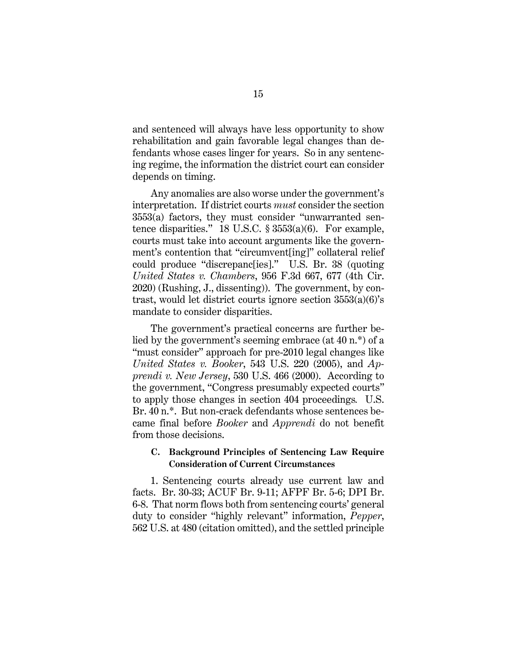and sentenced will always have less opportunity to show rehabilitation and gain favorable legal changes than defendants whose cases linger for years. So in any sentencing regime, the information the district court can consider depends on timing.

Any anomalies are also worse under the government's interpretation. If district courts *must* consider the section 3553(a) factors, they must consider "unwarranted sentence disparities." 18 U.S.C.  $\S$  3553(a)(6). For example, courts must take into account arguments like the government's contention that "circumvent[ing]" collateral relief could produce "discrepanc[ies]." U.S. Br. 38 (quoting *United States v. Chambers*, 956 F.3d 667, 677 (4th Cir. 2020) (Rushing, J., dissenting)). The government, by contrast, would let district courts ignore section 3553(a)(6)'s mandate to consider disparities.

<span id="page-20-4"></span><span id="page-20-3"></span>The government's practical concerns are further belied by the government's seeming embrace (at 40 n.\*) of a "must consider" approach for pre-2010 legal changes like *United States v. Booker*, 543 U.S. 220 (2005), and *Apprendi v. New Jersey*, 530 U.S. 466 (2000). According to the government, "Congress presumably expected courts" to apply those changes in section 404 proceedings*.* U.S. Br. 40 n.<sup>\*</sup>. But non-crack defendants whose sentences became final before *Booker* and *Apprendi* do not benefit from those decisions.

### <span id="page-20-2"></span><span id="page-20-1"></span><span id="page-20-0"></span>**C. Background Principles of Sentencing Law Require Consideration of Current Circumstances**

1. Sentencing courts already use current law and facts. Br. 30-33; ACUF Br. 9-11; AFPF Br. 5-6; DPI Br. 6-8. That norm flows both from sentencing courts' general duty to consider "highly relevant" information, *Pepper*, 562 U.S. at 480 (citation omitted), and the settled principle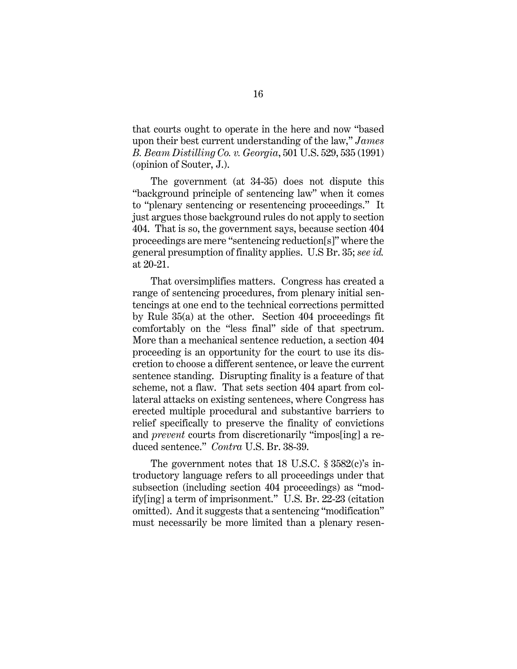<span id="page-21-0"></span>that courts ought to operate in the here and now "based upon their best current understanding of the law," *James B. Beam Distilling Co. v. Georgia*, 501 U.S. 529, 535 (1991) (opinion of Souter, J.).

The government (at 34-35) does not dispute this "background principle of sentencing law" when it comes to "plenary sentencing or resentencing proceedings." It just argues those background rules do not apply to section 404. That is so, the government says, because section 404 proceedings are mere "sentencing reduction[s]" where the general presumption of finality applies. U.S Br. 35; *see id.* at 20-21.

<span id="page-21-1"></span>That oversimplifies matters. Congress has created a range of sentencing procedures, from plenary initial sentencings at one end to the technical corrections permitted by Rule 35(a) at the other. Section 404 proceedings fit comfortably on the "less final" side of that spectrum. More than a mechanical sentence reduction, a section 404 proceeding is an opportunity for the court to use its discretion to choose a different sentence, or leave the current sentence standing. Disrupting finality is a feature of that scheme, not a flaw. That sets section 404 apart from collateral attacks on existing sentences, where Congress has erected multiple procedural and substantive barriers to relief specifically to preserve the finality of convictions and *prevent* courts from discretionarily "impos[ing] a reduced sentence." *Contra* U.S. Br. 38-39.

The government notes that 18 U.S.C. § 3582(c)'s introductory language refers to all proceedings under that subsection (including section 404 proceedings) as "modify[ing] a term of imprisonment." U.S. Br. 22-23 (citation omitted). And it suggests that a sentencing "modification" must necessarily be more limited than a plenary resen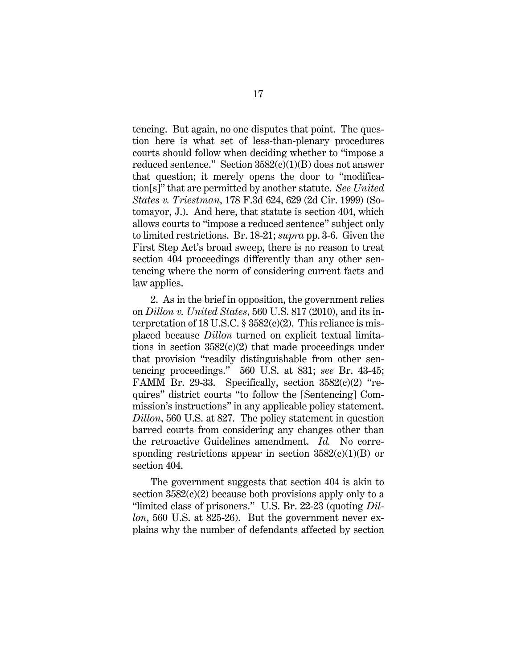<span id="page-22-1"></span>tencing. But again, no one disputes that point. The question here is what set of less-than-plenary procedures courts should follow when deciding whether to "impose a reduced sentence." Section  $3582(c)(1)(B)$  does not answer that question; it merely opens the door to "modification[s]" that are permitted by another statute. *See United States v. Triestman*, 178 F.3d 624, 629 (2d Cir. 1999) (Sotomayor, J.). And here, that statute is section 404, which allows courts to "impose a reduced sentence" subject only to limited restrictions. Br. 18-21; *supra* pp. 3-6. Given the First Step Act's broad sweep, there is no reason to treat section 404 proceedings differently than any other sentencing where the norm of considering current facts and law applies.

<span id="page-22-0"></span>2. As in the brief in opposition, the government relies on *Dillon v. United States*, 560 U.S. 817 (2010), and its interpretation of 18 U.S.C.  $\S$  3582(c)(2). This reliance is misplaced because *Dillon* turned on explicit textual limitations in section  $3582(c)(2)$  that made proceedings under that provision "readily distinguishable from other sentencing proceedings." 560 U.S. at 831; *see* Br. 43-45; FAMM Br. 29-33. Specifically, section  $3582(c)(2)$  "requires" district courts "to follow the [Sentencing] Commission's instructions" in any applicable policy statement. *Dillon*, 560 U.S. at 827. The policy statement in question barred courts from considering any changes other than the retroactive Guidelines amendment. *Id.* No corresponding restrictions appear in section  $3582(c)(1)(B)$  or section 404.

The government suggests that section 404 is akin to section  $3582(c)(2)$  because both provisions apply only to a "limited class of prisoners." U.S. Br. 22-23 (quoting *Dillon*, 560 U.S. at 825-26). But the government never explains why the number of defendants affected by section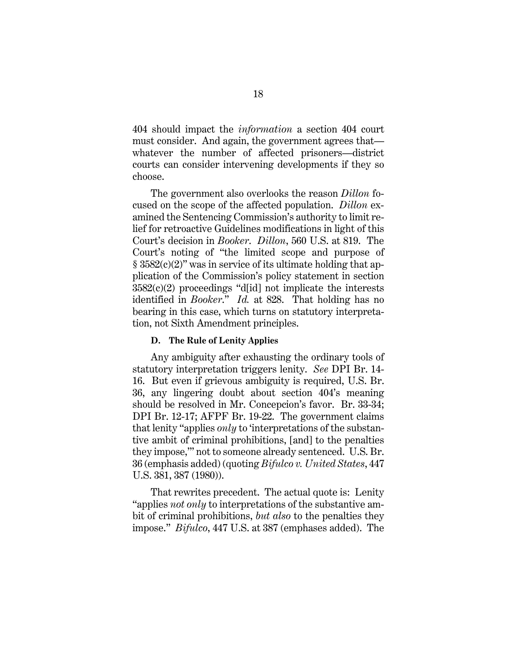404 should impact the *information* a section 404 court must consider. And again, the government agrees that whatever the number of affected prisoners—district courts can consider intervening developments if they so choose.

<span id="page-23-3"></span><span id="page-23-2"></span>The government also overlooks the reason *Dillon* focused on the scope of the affected population. *Dillon* examined the Sentencing Commission's authority to limit relief for retroactive Guidelines modifications in light of this Court's decision in *Booker*. *Dillon*, 560 U.S. at 819. The Court's noting of "the limited scope and purpose of  $\S$  3582(c)(2)" was in service of its ultimate holding that application of the Commission's policy statement in section  $3582(c)(2)$  proceedings "d[id] not implicate the interests identified in *Booker*." *Id.* at 828. That holding has no bearing in this case, which turns on statutory interpretation, not Sixth Amendment principles.

#### **D. The Rule of Lenity Applies**

<span id="page-23-0"></span>Any ambiguity after exhausting the ordinary tools of statutory interpretation triggers lenity. *See* DPI Br. 14- 16. But even if grievous ambiguity is required, U.S. Br. 36, any lingering doubt about section 404's meaning should be resolved in Mr. Concepcion's favor. Br. 33-34; DPI Br. 12-17; AFPF Br. 19-22. The government claims that lenity "applies *only* to 'interpretations of the substantive ambit of criminal prohibitions, [and] to the penalties they impose,'" not to someone already sentenced. U.S. Br. 36 (emphasis added) (quoting *Bifulco v. United States*, 447 U.S. 381, 387 (1980)).

<span id="page-23-1"></span>That rewrites precedent. The actual quote is: Lenity "applies *not only* to interpretations of the substantive ambit of criminal prohibitions, *but also* to the penalties they impose." *Bifulco*, 447 U.S. at 387 (emphases added). The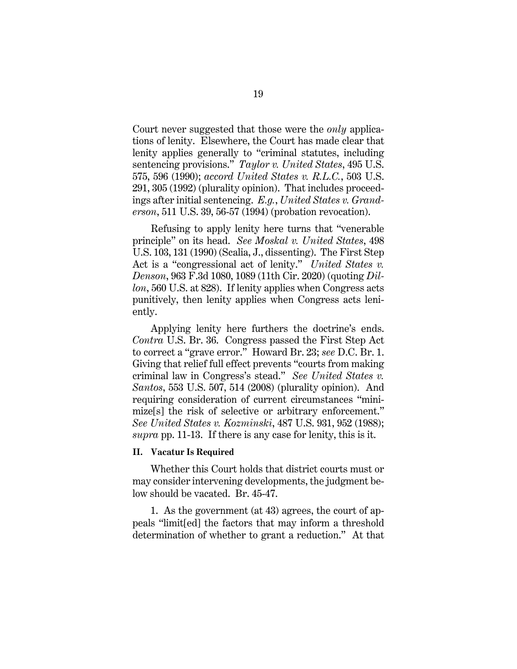<span id="page-24-7"></span><span id="page-24-3"></span>Court never suggested that those were the *only* applications of lenity. Elsewhere, the Court has made clear that lenity applies generally to "criminal statutes, including sentencing provisions." *Taylor v. United States*, 495 U.S. 575, 596 (1990); *accord United States v. R.L.C.*, 503 U.S. 291, 305 (1992) (plurality opinion). That includes proceedings after initial sentencing. *E.g.*, *United States v. Granderson*, 511 U.S. 39, 56-57 (1994) (probation revocation).

<span id="page-24-5"></span><span id="page-24-4"></span><span id="page-24-2"></span><span id="page-24-1"></span>Refusing to apply lenity here turns that "venerable principle" on its head. *See Moskal v. United States*, 498 U.S. 103, 131 (1990) (Scalia, J., dissenting). The First Step Act is a "congressional act of lenity." *United States v. Denson*, 963 F.3d 1080, 1089 (11th Cir. 2020) (quoting *Dillon*, 560 U.S. at 828). If lenity applies when Congress acts punitively, then lenity applies when Congress acts leniently.

<span id="page-24-8"></span>Applying lenity here furthers the doctrine's ends. *Contra* U.S. Br. 36. Congress passed the First Step Act to correct a "grave error." Howard Br. 23; *see* D.C. Br. 1. Giving that relief full effect prevents "courts from making criminal law in Congress's stead." *See United States v. Santos*, 553 U.S. 507, 514 (2008) (plurality opinion). And requiring consideration of current circumstances "minimize[s] the risk of selective or arbitrary enforcement." *See United States v. Kozminski*, 487 U.S. 931, 952 (1988); *supra* pp. 11-13. If there is any case for lenity, this is it.

#### <span id="page-24-6"></span><span id="page-24-0"></span>**II. Vacatur Is Required**

Whether this Court holds that district courts must or may consider intervening developments, the judgment below should be vacated. Br. 45-47.

1. As the government (at 43) agrees, the court of appeals "limit[ed] the factors that may inform a threshold determination of whether to grant a reduction." At that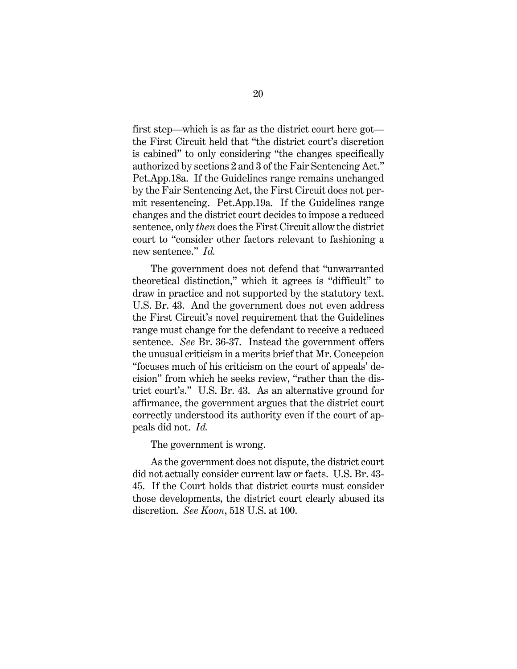first step—which is as far as the district court here got the First Circuit held that "the district court's discretion is cabined" to only considering "the changes specifically authorized by sections 2 and 3 of the Fair Sentencing Act." Pet.App.18a. If the Guidelines range remains unchanged by the Fair Sentencing Act, the First Circuit does not permit resentencing. Pet.App.19a. If the Guidelines range changes and the district court decides to impose a reduced sentence, only *then* does the First Circuit allow the district court to "consider other factors relevant to fashioning a new sentence." *Id.*

The government does not defend that "unwarranted theoretical distinction," which it agrees is "difficult" to draw in practice and not supported by the statutory text. U.S. Br. 43. And the government does not even address the First Circuit's novel requirement that the Guidelines range must change for the defendant to receive a reduced sentence. *See* Br. 36-37. Instead the government offers the unusual criticism in a merits brief that Mr. Concepcion "focuses much of his criticism on the court of appeals' decision" from which he seeks review, "rather than the district court's." U.S. Br. 43. As an alternative ground for affirmance, the government argues that the district court correctly understood its authority even if the court of appeals did not. *Id.*

<span id="page-25-0"></span>The government is wrong.

As the government does not dispute, the district court did not actually consider current law or facts. U.S. Br. 43- 45. If the Court holds that district courts must consider those developments, the district court clearly abused its discretion. *See Koon*, 518 U.S. at 100.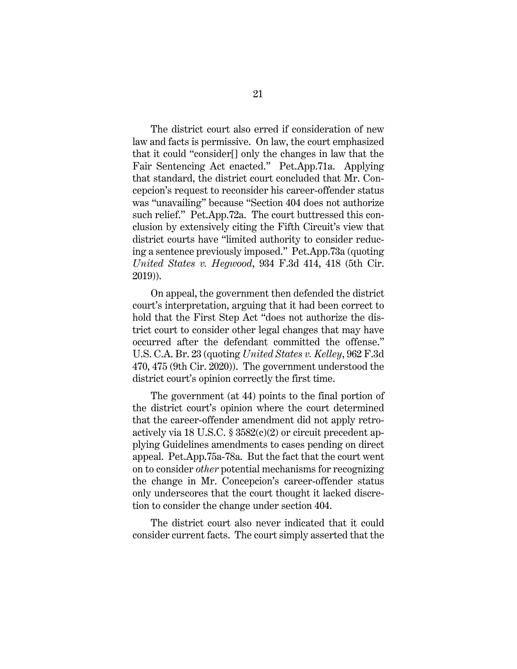The district court also erred if consideration of new law and facts is permissive. On law, the court emphasized that it could "consider[] only the changes in law that the Fair Sentencing Act enacted." Pet.App.71a. Applying that standard, the district court concluded that Mr. Concepcion's request to reconsider his career-offender status was "unavailing" because "Section 404 does not authorize such relief." Pet.App.72a. The court buttressed this conclusion by extensively citing the Fifth Circuit's view that district courts have "limited authority to consider reducing a sentence previously imposed." Pet.App.73a (quoting *United States v. Hegwood*, 934 F.3d 414, 418 (5th Cir. 2019)).

<span id="page-26-0"></span>On appeal, the government then defended the district court's interpretation, arguing that it had been correct to hold that the First Step Act "does not authorize the district court to consider other legal changes that may have occurred after the defendant committed the offense." U.S. C.A. Br. 23 (quoting *United States v. Kelley*, 962 F.3d 470, 475 (9th Cir. 2020)). The government understood the district court's opinion correctly the first time.

<span id="page-26-1"></span>The government (at 44) points to the final portion of the district court's opinion where the court determined that the career-offender amendment did not apply retroactively via 18 U.S.C. § 3582(c)(2) or circuit precedent applying Guidelines amendments to cases pending on direct appeal. Pet.App.75a-78a. But the fact that the court went on to consider *other* potential mechanisms for recognizing the change in Mr. Concepcion's career-offender status only underscores that the court thought it lacked discretion to consider the change under section 404.

The district court also never indicated that it could consider current facts. The court simply asserted that the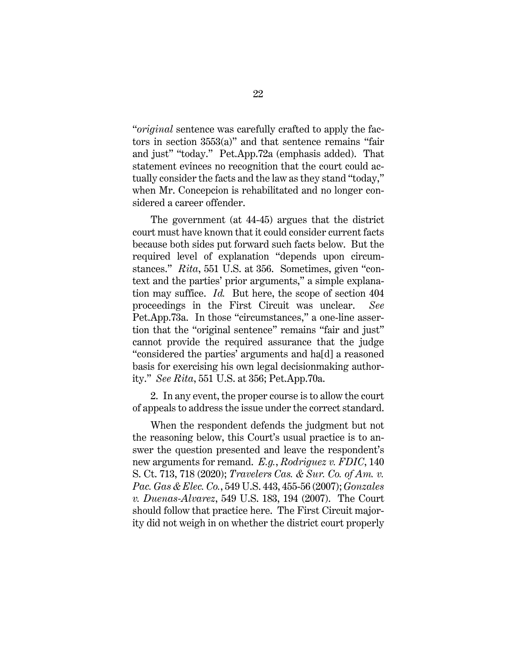"*original* sentence was carefully crafted to apply the factors in section 3553(a)" and that sentence remains "fair and just" "today." Pet.App.72a (emphasis added). That statement evinces no recognition that the court could actually consider the facts and the law as they stand "today," when Mr. Concepcion is rehabilitated and no longer considered a career offender.

<span id="page-27-1"></span>The government (at 44-45) argues that the district court must have known that it could consider current facts because both sides put forward such facts below. But the required level of explanation "depends upon circumstances." *Rita*, 551 U.S. at 356. Sometimes, given "context and the parties' prior arguments," a simple explanation may suffice. *Id.* But here, the scope of section 404 proceedings in the First Circuit was unclear. *See* Pet.App.73a. In those "circumstances," a one-line assertion that the "original sentence" remains "fair and just" cannot provide the required assurance that the judge "considered the parties' arguments and ha[d] a reasoned basis for exercising his own legal decisionmaking authority." *See Rita*, 551 U.S. at 356; Pet.App.70a.

2. In any event, the proper course is to allow the court of appeals to address the issue under the correct standard.

<span id="page-27-3"></span><span id="page-27-2"></span><span id="page-27-0"></span>When the respondent defends the judgment but not the reasoning below, this Court's usual practice is to answer the question presented and leave the respondent's new arguments for remand. *E.g.*, *Rodriguez v. FDIC*, 140 S. Ct. 713, 718 (2020); *Travelers Cas. & Sur. Co. of Am. v. Pac. Gas & Elec. Co.*, 549 U.S. 443, 455-56 (2007); *Gonzales v. Duenas-Alvarez*, 549 U.S. 183, 194 (2007). The Court should follow that practice here. The First Circuit majority did not weigh in on whether the district court properly